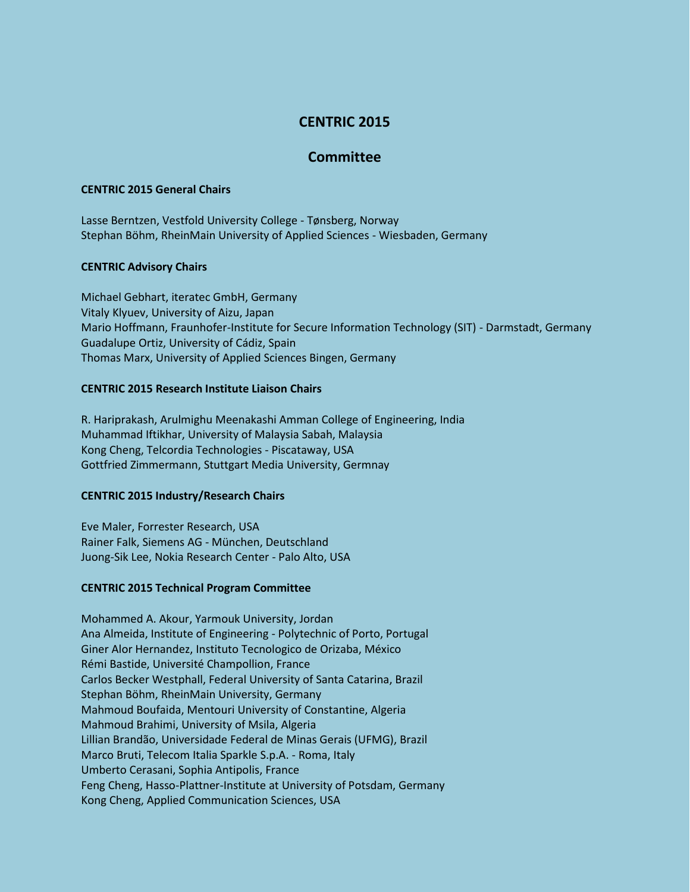# **CENTRIC 2015**

## **Committee**

#### **CENTRIC 2015 General Chairs**

Lasse Berntzen, Vestfold University College - Tønsberg, Norway Stephan Böhm, RheinMain University of Applied Sciences - Wiesbaden, Germany

### **CENTRIC Advisory Chairs**

Michael Gebhart, iteratec GmbH, Germany Vitaly Klyuev, University of Aizu, Japan Mario Hoffmann, Fraunhofer-Institute for Secure Information Technology (SIT) - Darmstadt, Germany Guadalupe Ortiz, University of Cádiz, Spain Thomas Marx, University of Applied Sciences Bingen, Germany

### **CENTRIC 2015 Research Institute Liaison Chairs**

R. Hariprakash, Arulmighu Meenakashi Amman College of Engineering, India Muhammad Iftikhar, University of Malaysia Sabah, Malaysia Kong Cheng, Telcordia Technologies - Piscataway, USA Gottfried Zimmermann, Stuttgart Media University, Germnay

### **CENTRIC 2015 Industry/Research Chairs**

Eve Maler, Forrester Research, USA Rainer Falk, Siemens AG - München, Deutschland Juong-Sik Lee, Nokia Research Center - Palo Alto, USA

### **CENTRIC 2015 Technical Program Committee**

Mohammed A. Akour, Yarmouk University, Jordan Ana Almeida, Institute of Engineering - Polytechnic of Porto, Portugal Giner Alor Hernandez, Instituto Tecnologico de Orizaba, México Rémi Bastide, Université Champollion, France Carlos Becker Westphall, Federal University of Santa Catarina, Brazil Stephan Böhm, RheinMain University, Germany Mahmoud Boufaida, Mentouri University of Constantine, Algeria Mahmoud Brahimi, University of Msila, Algeria Lillian Brandão, Universidade Federal de Minas Gerais (UFMG), Brazil Marco Bruti, Telecom Italia Sparkle S.p.A. - Roma, Italy Umberto Cerasani, Sophia Antipolis, France Feng Cheng, Hasso-Plattner-Institute at University of Potsdam, Germany Kong Cheng, Applied Communication Sciences, USA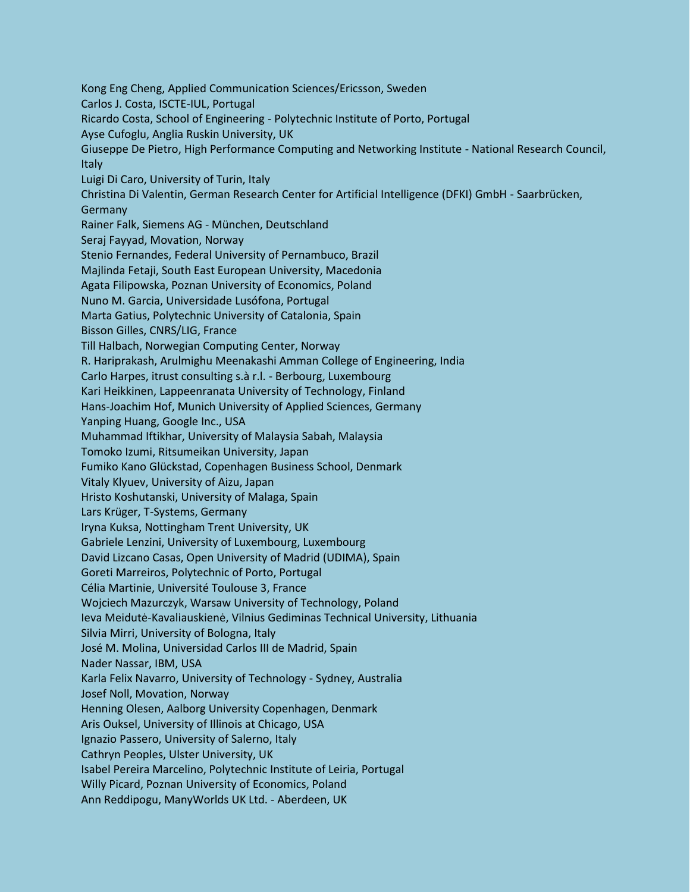Kong Eng Cheng, Applied Communication Sciences/Ericsson, Sweden Carlos J. Costa, ISCTE-IUL, Portugal Ricardo Costa, School of Engineering - Polytechnic Institute of Porto, Portugal Ayse Cufoglu, Anglia Ruskin University, UK Giuseppe De Pietro, High Performance Computing and Networking Institute - National Research Council, Italy Luigi Di Caro, University of Turin, Italy Christina Di Valentin, German Research Center for Artificial Intelligence (DFKI) GmbH - Saarbrücken, Germany Rainer Falk, Siemens AG - München, Deutschland Seraj Fayyad, Movation, Norway Stenio Fernandes, Federal University of Pernambuco, Brazil Majlinda Fetaji, South East European University, Macedonia Agata Filipowska, Poznan University of Economics, Poland Nuno M. Garcia, Universidade Lusófona, Portugal Marta Gatius, Polytechnic University of Catalonia, Spain Bisson Gilles, CNRS/LIG, France Till Halbach, Norwegian Computing Center, Norway R. Hariprakash, Arulmighu Meenakashi Amman College of Engineering, India Carlo Harpes, itrust consulting s.à r.l. - Berbourg, Luxembourg Kari Heikkinen, Lappeenranata University of Technology, Finland Hans-Joachim Hof, Munich University of Applied Sciences, Germany Yanping Huang, Google Inc., USA Muhammad Iftikhar, University of Malaysia Sabah, Malaysia Tomoko Izumi, Ritsumeikan University, Japan Fumiko Kano Glückstad, Copenhagen Business School, Denmark Vitaly Klyuev, University of Aizu, Japan Hristo Koshutanski, University of Malaga, Spain Lars Krüger, T-Systems, Germany Iryna Kuksa, Nottingham Trent University, UK Gabriele Lenzini, University of Luxembourg, Luxembourg David Lizcano Casas, Open University of Madrid (UDIMA), Spain Goreti Marreiros, Polytechnic of Porto, Portugal Célia Martinie, Université Toulouse 3, France Wojciech Mazurczyk, Warsaw University of Technology, Poland Ieva Meidutė-Kavaliauskienė, Vilnius Gediminas Technical University, Lithuania Silvia Mirri, University of Bologna, Italy José M. Molina, Universidad Carlos III de Madrid, Spain Nader Nassar, IBM, USA Karla Felix Navarro, University of Technology - Sydney, Australia Josef Noll, Movation, Norway Henning Olesen, Aalborg University Copenhagen, Denmark Aris Ouksel, University of Illinois at Chicago, USA Ignazio Passero, University of Salerno, Italy Cathryn Peoples, Ulster University, UK Isabel Pereira Marcelino, Polytechnic Institute of Leiria, Portugal Willy Picard, Poznan University of Economics, Poland Ann Reddipogu, ManyWorlds UK Ltd. - Aberdeen, UK